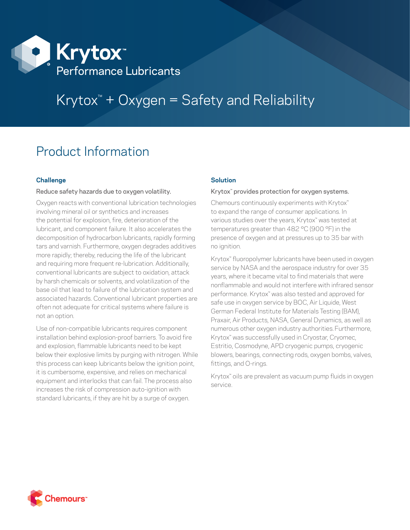

# Krytox™ + Oxygen = Safety and Reliability

## Product Information

### **Challenge**

#### Reduce safety hazards due to oxygen volatility.

Oxygen reacts with conventional lubrication technologies involving mineral oil or synthetics and increases the potential for explosion, fire, deterioration of the lubricant, and component failure. It also accelerates the decomposition of hydrocarbon lubricants, rapidly forming tars and varnish. Furthermore, oxygen degrades additives more rapidly; thereby, reducing the life of the lubricant and requiring more frequent re-lubrication. Additionally, conventional lubricants are subject to oxidation, attack by harsh chemicals or solvents, and volatilization of the base oil that lead to failure of the lubrication system and associated hazards. Conventional lubricant properties are often not adequate for critical systems where failure is not an option.

Use of non-compatible lubricants requires component installation behind explosion-proof barriers. To avoid fire and explosion, flammable lubricants need to be kept below their explosive limits by purging with nitrogen. While this process can keep lubricants below the ignition point, it is cumbersome, expensive, and relies on mechanical equipment and interlocks that can fail. The process also increases the risk of compression auto-ignition with standard lubricants, if they are hit by a surge of oxygen.

#### **Solution**

#### Krytox<sup>™</sup> provides protection for oxygen systems.

Chemours continuously experiments with Krytox<sup>™</sup> to expand the range of consumer applications. In various studies over the years, Krytox™ was tested at temperatures greater than 482 °C (900 °F) in the presence of oxygen and at pressures up to 35 bar with no ignition.

Krytox™ fluoropolymer lubricants have been used in oxygen service by NASA and the aerospace industry for over 35 years, where it became vital to find materials that were nonflammable and would not interfere with infrared sensor performance. Krytox™ was also tested and approved for safe use in oxygen service by BOC, Air Liquide, West German Federal Institute for Materials Testing (BAM), Praxair, Air Products, NASA, General Dynamics, as well as numerous other oxygen industry authorities.Furthermore, Krytox™ was successfully used in Cryostar, Cryomec, Estritio, Cosmodyne, APD cryogenic pumps, cryogenic blowers, bearings, connecting rods, oxygen bombs, valves, fittings, and O-rings.

Krytox™ oils are prevalent as vacuum pump fluids in oxygen service.